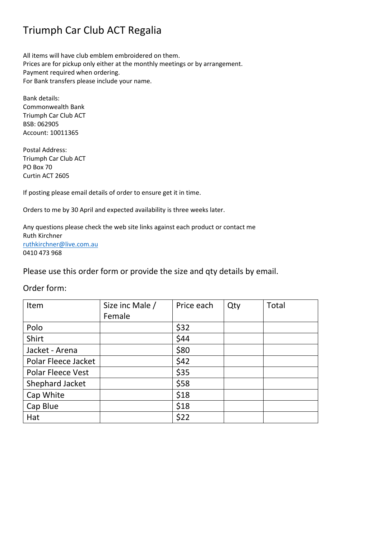# Triumph Car Club ACT Regalia

All items will have club emblem embroidered on them. Prices are for pickup only either at the monthly meetings or by arrangement. Payment required when ordering. For Bank transfers please include your name.

Bank details: Commonwealth Bank Triumph Car Club ACT BSB: 062905 Account: 10011365

Postal Address: Triumph Car Club ACT PO Box 70 Curtin ACT 2605

If posting please email details of order to ensure get it in time.

Orders to me by 30 April and expected availability is three weeks later.

Any questions please check the web site links against each product or contact me Ruth Kirchner [ruthkirchner@live.com.au](mailto:ruthkirchner@live.com.au) 0410 473 968

Please use this order form or provide the size and qty details by email.

### Order form:

| Item                     | Size inc Male / | Price each | Qty | Total |
|--------------------------|-----------------|------------|-----|-------|
|                          | Female          |            |     |       |
| Polo                     |                 | \$32       |     |       |
| Shirt                    |                 | \$44       |     |       |
| Jacket - Arena           |                 | \$80       |     |       |
| Polar Fleece Jacket      |                 | \$42       |     |       |
| <b>Polar Fleece Vest</b> |                 | \$35       |     |       |
| Shephard Jacket          |                 | \$58       |     |       |
| Cap White                |                 | \$18       |     |       |
| Cap Blue                 |                 | \$18       |     |       |
| Hat                      |                 | \$22       |     |       |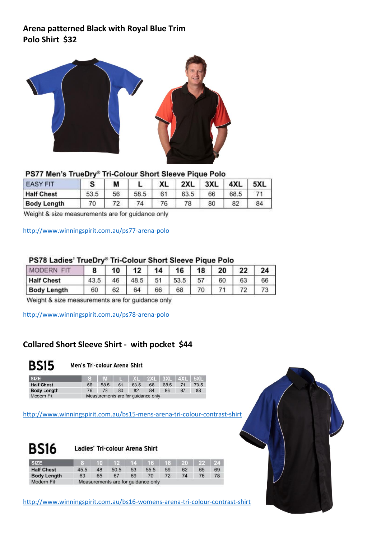# **Arena patterned Black with Royal Blue Trim Polo Shirt \$32**



#### PS77 Men's TrueDry® Tri-Colour Short Sleeve Pique Polo

| <b>EASY FIT</b>    |      | М  |      | XL | 2XL  | 3XL | 4XL  | 5XL |
|--------------------|------|----|------|----|------|-----|------|-----|
| <b>Half Chest</b>  | 53.5 | 56 | 58.5 | 61 | 63.5 | 66  | 68.5 |     |
| <b>Body Length</b> | 70   | 72 | 74.  | 76 | 78   | 80  | 82   | 84  |

Weight & size measurements are for guidance only

<http://www.winningspirit.com.au/ps77-arena-polo>

#### PS78 Ladies' TrueDry® Tri-Colour Short Sleeve Pique Polo

| EГ<br><b>MODERN</b> |      | 10 | 12   | 14 | 16   | 18 | 20 | つつ |    |
|---------------------|------|----|------|----|------|----|----|----|----|
| <b>Half Chest</b>   | 43.5 | 46 | 48.5 | 51 | 53.5 | 57 | 60 | 63 | 66 |
| <b>Body Length</b>  | 60   | ۵ŋ | 64   | 66 | 68   |    |    |    |    |

Weight & size measurements are for guidance only

<http://www.winningspirit.com.au/ps78-arena-polo>

### **Collared Short Sleeve Shirt - with pocket \$44**



#### Men's Tri-colour Arena Shirt

| <b>SIZE</b>        |    | $S$   M   L   XL   2XL   3XL   4XL   5XL |    |      |    |      |      |
|--------------------|----|------------------------------------------|----|------|----|------|------|
| <b>Half Chest</b>  | 56 | 58.5                                     | 61 | 63.5 | 66 | 68.5 | 73.5 |
| <b>Body Length</b> | 76 | 78                                       | 80 | 82   | 84 | 86   | 88   |
| Modern Fit         |    | Measurements are for guidance only       |    |      |    |      |      |

<http://www.winningspirit.com.au/bs15-mens-arena-tri-colour-contrast-shirt>



Ladies' Tri-colour Arena Shirt

| <b>SIZE</b>        |      |    | $10$   12   14   16   18   20   22 |    |      |    |    |    | $\blacksquare$ 24. |
|--------------------|------|----|------------------------------------|----|------|----|----|----|--------------------|
| <b>Half Chest</b>  | 45.5 | 48 | 50.5                               | 53 | 55.5 | 59 | 62 | 65 | 69                 |
| <b>Body Length</b> | 63   | 65 | 67                                 | 69 | 70   | 72 | 74 | 76 |                    |
| Modern Fit         |      |    | Measurements are for guidance only |    |      |    |    |    |                    |

<http://www.winningspirit.com.au/bs16-womens-arena-tri-colour-contrast-shirt>

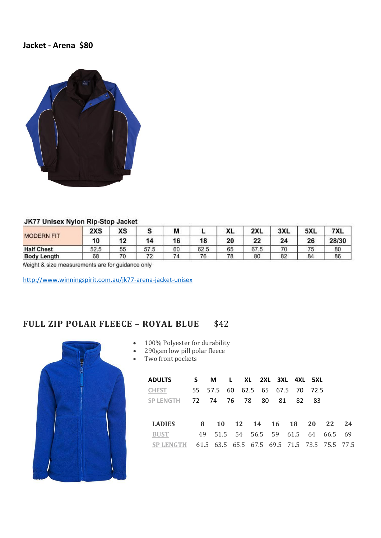## **Jacket - Arena \$80**



#### **JK77 Unisex Nylon Rip-Stop Jacket**

|                    | 2XS  | <b>YC</b><br>טח          |                          | M  |      | $\mathbf{v}$<br>ᄮ | 2XL  | 3XL | 5XL | 7XL   |
|--------------------|------|--------------------------|--------------------------|----|------|-------------------|------|-----|-----|-------|
| <b>MODERN FIT</b>  | 10   |                          |                          |    | 18   | 20                | 22   |     | 26  | 28/30 |
| <b>Half Chest</b>  | 52.5 | 55                       | 57.5                     | 60 | 62.5 | 65                | 67.5 | 70  | 75  | 80    |
| <b>Body Length</b> | 68   | $\overline{\mathcal{U}}$ | $\overline{\phantom{a}}$ | 74 | 76   | 78                | 80   | 82  | 84  | 86    |

Neight & size measurements are for guidance only

<http://www.winningspirit.com.au/jk77-arena-jacket-unisex>

# **FULL ZIP POLAR FLEECE – ROYAL BLUE** \$42



|  |  |  | 100% Polyester for durability |
|--|--|--|-------------------------------|
|--|--|--|-------------------------------|

- 290gsm low pill polar fleece
- Two front pockets

| <b>ADULTS</b>                                          |   | S M L XL 2XL 3XL 4XL 5XL        |  |  |  |                                    |  |
|--------------------------------------------------------|---|---------------------------------|--|--|--|------------------------------------|--|
| <b>CHEST</b>                                           |   | 55 57.5 60 62.5 65 67.5 70 72.5 |  |  |  |                                    |  |
| SP LENGTH 72 74 76 78 80 81 82 83                      |   |                                 |  |  |  |                                    |  |
|                                                        |   |                                 |  |  |  |                                    |  |
| <b>LADIES</b>                                          | 8 |                                 |  |  |  | 10 12 14 16 18 20 22 24            |  |
| <b>BUST</b>                                            |   |                                 |  |  |  | 49 51.5 54 56.5 59 61.5 64 66.5 69 |  |
| SP LENGTH 61.5 63.5 65.5 67.5 69.5 71.5 73.5 75.5 77.5 |   |                                 |  |  |  |                                    |  |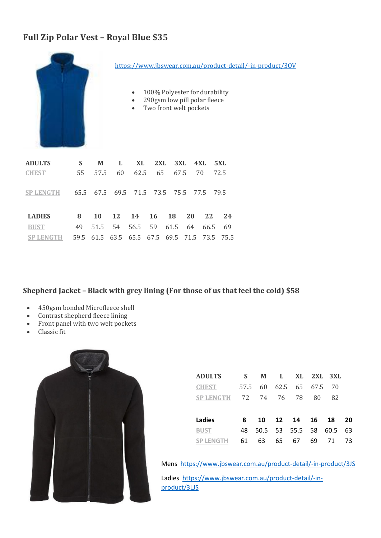# **Full Zip Polar Vest – Royal Blue \$35**



<https://www.jbswear.com.au/product-detail/-in-product/3OV>

- 100% Polyester for durability
- 290gsm low pill polar fleece
- Two front welt pockets

| <b>ADULTS</b>                                     | S. |  | M L XL 2XL 3XL 4XL 5XL                       |  |  |    |
|---------------------------------------------------|----|--|----------------------------------------------|--|--|----|
| <b>CHEST</b>                                      |    |  | 55 57.5 60 62.5 65 67.5 70 72.5              |  |  |    |
| SP LENGTH 65.5 67.5 69.5 71.5 73.5 75.5 77.5 79.5 |    |  |                                              |  |  |    |
| <b>LADIES</b>                                     |    |  | 8 10 12 14 16 18 20 22                       |  |  | 24 |
| <b>BUST</b>                                       |    |  | 49 51.5 54 56.5 59 61.5 64 66.5 69           |  |  |    |
| <b>SP LENGTH</b>                                  |    |  | 59.5 61.5 63.5 65.5 67.5 69.5 71.5 73.5 75.5 |  |  |    |

### **Shepherd Jacket – Black with grey lining (For those of us that feel the cold) \$58**

- 450gsm bonded Microfleece shell
- Contrast shepherd fleece lining
- Front panel with two welt pockets
- Classic fit



| <b>ADULTS</b>    | S.   | M        | - L. |              |    | XL 2XL 3XL |     |
|------------------|------|----------|------|--------------|----|------------|-----|
| <b>CHEST</b>     | 57.5 | 60       |      | 62.5 65 67.5 |    | 70         |     |
| <b>SP LENGTH</b> |      | 72 74 76 |      | 78           | 80 | 82         |     |
|                  |      |          |      |              |    |            |     |
| Ladies           | 8    | 10 I     |      | 12 14 16     |    | 18         | 20  |
| <b>BUST</b>      | 48   | 50.5     |      | 53 55.5 58   |    | 60.5       | -63 |
| SP LENGTH        | 61   | 63       | 65   | 67           | 69 | 71         | 73. |

Mens <https://www.jbswear.com.au/product-detail/-in-product/3JS>

Ladies [https://www.jbswear.com.au/product-detail/-in](https://www.jbswear.com.au/product-detail/-in-product/3LJS)[product/3LJS](https://www.jbswear.com.au/product-detail/-in-product/3LJS)